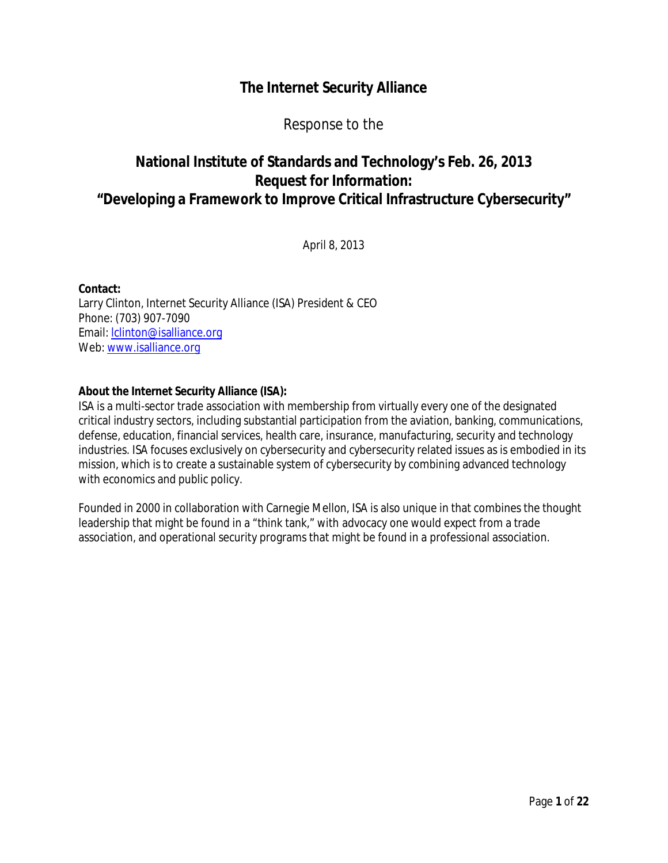# **The Internet Security Alliance**

Response to the

# **National Institute of Standards and Technology's Feb. 26, 2013 Request for Information: "Developing a Framework to Improve Critical Infrastructure Cybersecurity"**

April 8, 2013

 Larry Clinton, Internet Security Alliance (ISA) President & CEO Phone: (703) 907-7090 Web: www.isalliance.org **Contact:**  Email: lclinton@isalliance.org

### **About the Internet Security Alliance (ISA):**

 ISA is a multi-sector trade association with membership from virtually every one of the designated critical industry sectors, including substantial participation from the aviation, banking, communications, defense, education, financial services, health care, insurance, manufacturing, security and technology industries. ISA focuses exclusively on cybersecurity and cybersecurity related issues as is embodied in its mission, which is to create a sustainable system of cybersecurity by combining advanced technology with economics and public policy.

 Founded in 2000 in collaboration with Carnegie Mellon, ISA is also unique in that combines the thought leadership that might be found in a "think tank," with advocacy one would expect from a trade association, and operational security programs that might be found in a professional association.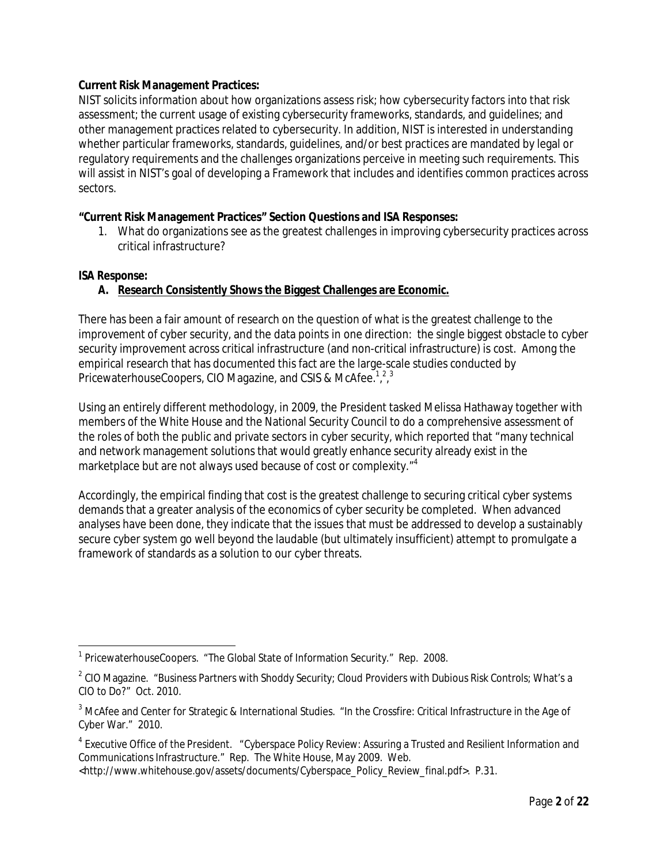### **Current Risk Management Practices:**

 NIST solicits information about how organizations assess risk; how cybersecurity factors into that risk assessment; the current usage of existing cybersecurity frameworks, standards, and guidelines; and other management practices related to cybersecurity. In addition, NIST is interested in understanding whether particular frameworks, standards, guidelines, and/or best practices are mandated by legal or regulatory requirements and the challenges organizations perceive in meeting such requirements. This will assist in NIST's goal of developing a Framework that includes and identifies common practices across sectors.

### **"Current Risk Management Practices" Section Questions and ISA Responses:**

1. What do organizations see as the greatest challenges in improving cybersecurity practices across critical infrastructure?

### *ISA Response:*

# **A. Research Consistently Shows the Biggest Challenges are Economic.**

 There has been a fair amount of research on the question of what is the greatest challenge to the improvement of cyber security, and the data points in one direction: the single biggest obstacle to cyber security improvement across critical infrastructure (and non-critical infrastructure) is cost. Among the empirical research that has documented this fact are the large-scale studies conducted by PricewaterhouseCoopers, CIO Magazine, and CSIS & McAfee.<sup>1,2,3</sup>

 Using an entirely different methodology, in 2009, the President tasked Melissa Hathaway together with members of the White House and the National Security Council to do a comprehensive assessment of the roles of both the public and private sectors in cyber security, which reported that "many technical and network management solutions that would greatly enhance security already exist in the marketplace but are not always used because of cost or complexity."<sup>4</sup>

 Accordingly, the empirical finding that cost is the greatest challenge to securing critical cyber systems demands that a greater analysis of the economics of cyber security be completed. When advanced analyses have been done, they indicate that the issues that must be addressed to develop a sustainably secure cyber system go well beyond the laudable (but ultimately insufficient) attempt to promulgate a framework of standards as a solution to our cyber threats.

 $\overline{a}$ <sup>1</sup> PricewaterhouseCoopers. "The Global State of Information Security." Rep. 2008.

 $^{\rm 2}$  CIO Magazine. "Business Partners with Shoddy Security; Cloud Providers with Dubious Risk Controls; What's a CIO to Do?" Oct. 2010.

 $^3$  McAfee and Center for Strategic & International Studies. "In the Crossfire: Critical Infrastructure in the Age of Cyber War." 2010.

 $^4$  Executive Office of the President.  $\,$  "Cyberspace Policy Review: Assuring a Trusted and Resilient Information and Communications Infrastructure." Rep. The White House, May 2009. Web.

 <http://www.whitehouse.gov/assets/documents/Cyberspace\_Policy\_Review\_final.pdf>. P.31.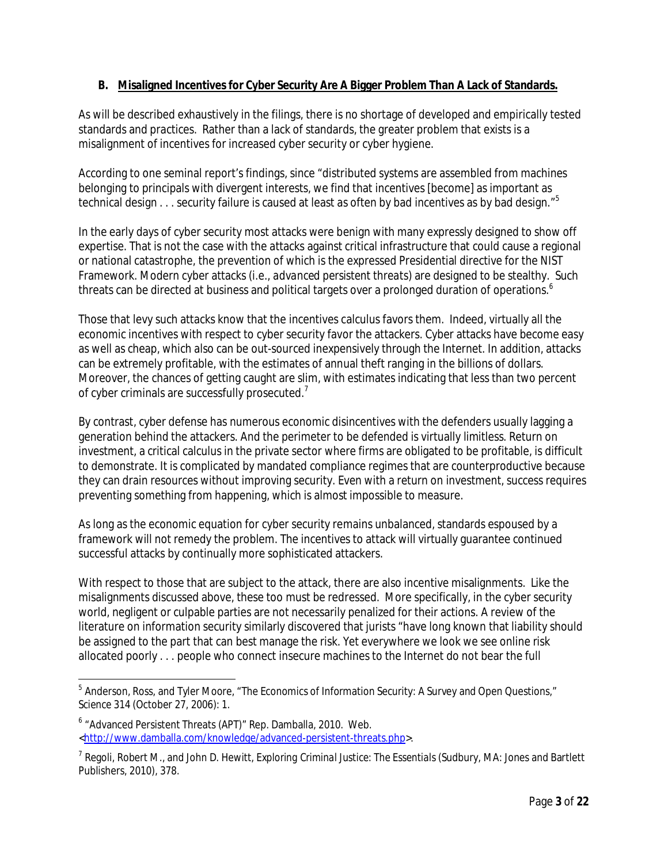# **B. Misaligned Incentives for Cyber Security Are A Bigger Problem Than A Lack of Standards.**

As will be described exhaustively in the filings, there is no shortage of developed and empirically tested standards and practices. Rather than a lack of standards, the greater problem that exists is a misalignment of incentives for increased cyber security or cyber hygiene.

According to one seminal report's findings, since "distributed systems are assembled from machines belonging to principals with divergent interests, we find that incentives [become] as important as technical design . . . security failure is caused at least as often by bad incentives as by bad design."<sup>5</sup>

In the early days of cyber security most attacks were benign with many expressly designed to show off expertise. That is not the case with the attacks against critical infrastructure that could cause a regional or national catastrophe, the prevention of which is the expressed Presidential directive for the NIST Framework. Modern cyber attacks (i.e., *advanced persistent threats*) are designed to be stealthy. Such threats can be directed at business and political targets over a prolonged duration of operations.<sup>6</sup>

Those that levy such attacks know that the incentives calculus favors them. Indeed, virtually all the economic incentives with respect to cyber security favor the attackers. Cyber attacks have become easy as well as cheap, which also can be out-sourced inexpensively through the Internet. In addition, attacks can be extremely profitable, with the estimates of annual theft ranging in the billions of dollars. Moreover, the chances of getting caught are slim, with estimates indicating that less than two percent of cyber criminals are successfully prosecuted. $<sup>7</sup>$ </sup>

By contrast, cyber defense has numerous economic disincentives with the defenders usually lagging a generation behind the attackers. And the perimeter to be defended is virtually limitless. Return on investment, a critical calculus in the private sector where firms are obligated to be profitable, is difficult to demonstrate. It is complicated by mandated compliance regimes that are counterproductive because they can drain resources without improving security. Even with a return on investment, success requires preventing something from happening, which is almost impossible to measure.

As long as the economic equation for cyber security remains unbalanced, standards espoused by a framework will not remedy the problem. The incentives to attack will virtually guarantee continued successful attacks by continually more sophisticated attackers.

With respect to those that are subject to the attack, there are also incentive misalignments. Like the misalignments discussed above, these too must be redressed. More specifically, in the cyber security world, negligent or culpable parties are not necessarily penalized for their actions. A review of the literature on information security similarly discovered that jurists "have long known that liability should be assigned to the part that can best manage the risk. Yet everywhere we look we see online risk allocated poorly . . . people who connect insecure machines to the Internet do not bear the full

 $\overline{\phantom{a}}$  $^{\rm 5}$  Anderson, Ross, and Tyler Moore, "The Economics of Information Security: A Survey and Open Questions," *Science* 314 (October 27, 2006): 1.

<sup>&</sup>lt;sup>6</sup> "Advanced Persistent Threats (APT)" Rep. Damballa, 2010. Web. <http://www.damballa.com/knowledge/advanced-persistent-threats.php>.

<sup>7</sup> Regoli, Robert M., and John D. Hewitt, *Exploring Criminal Justice: The Essentials* (Sudbury, MA: Jones and Bartlett Publishers, 2010), 378.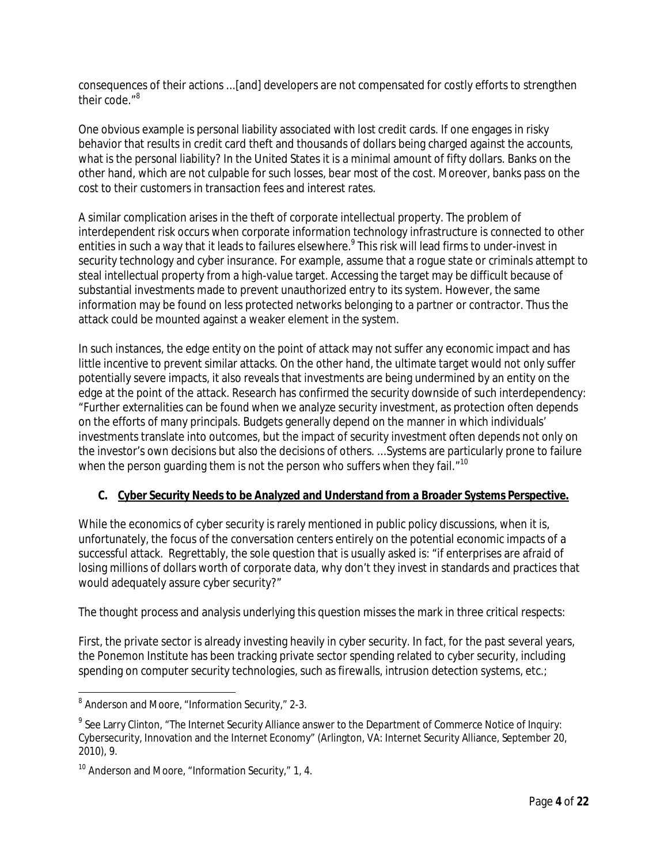consequences of their actions ...[and] developers are not compensated for costly efforts to strengthen their code."<sup>8</sup>

One obvious example is personal liability associated with lost credit cards. If one engages in risky behavior that results in credit card theft and thousands of dollars being charged against the accounts, what is the personal liability? In the United States it is a minimal amount of fifty dollars. Banks on the other hand, which are not culpable for such losses, bear most of the cost. Moreover, banks pass on the cost to their customers in transaction fees and interest rates.

A similar complication arises in the theft of corporate intellectual property. The problem of interdependent risk occurs when corporate information technology infrastructure is connected to other entities in such a way that it leads to failures elsewhere.<sup>9</sup> This risk will lead firms to under-invest in security technology and cyber insurance. For example, assume that a rogue state or criminals attempt to steal intellectual property from a high-value target. Accessing the target may be difficult because of substantial investments made to prevent unauthorized entry to its system. However, the same information may be found on less protected networks belonging to a partner or contractor. Thus the attack could be mounted against a weaker element in the system.

In such instances, the edge entity on the point of attack may not suffer any economic impact and has little incentive to prevent similar attacks. On the other hand, the ultimate target would not only suffer potentially severe impacts, it also reveals that investments are being undermined by an entity on the edge at the point of the attack. Research has confirmed the security downside of such interdependency: "Further externalities can be found when we analyze security investment, as protection often depends on the efforts of many principals. Budgets generally depend on the manner in which individuals' investments translate into outcomes, but the impact of security investment often depends not only on the investor's own decisions but also the decisions of others. ...Systems are particularly prone to failure when the person guarding them is not the person who suffers when they fail. $^{\prime\prime}$ <sup>10</sup>

# **C. Cyber Security Needs to be Analyzed and Understand from a Broader Systems Perspective.**

While the economics of cyber security is rarely mentioned in public policy discussions, when it is, unfortunately, the focus of the conversation centers entirely on the potential economic impacts of a successful attack. Regrettably, the sole question that is usually asked is: "if enterprises are afraid of losing millions of dollars worth of corporate data, why don't they invest in standards and practices that would adequately assure cyber security?"

The thought process and analysis underlying this question misses the mark in three critical respects:

First, the private sector is already investing heavily in cyber security. In fact, for the past several years, the Ponemon Institute has been tracking private sector spending related to cyber security, including spending on computer security technologies, such as firewalls, intrusion detection systems, etc.;

e<br>B Anderson and Moore, "Information Security," 2-3.

 $^9$  See Larry Clinton, "The Internet Security Alliance answer to the Department of Commerce Notice of Inquiry: Cybersecurity, Innovation and the Internet Economy" (Arlington, VA: Internet Security Alliance, September 20, 2010), 9.

<sup>&</sup>lt;sup>10</sup> Anderson and Moore, "Information Security," 1, 4.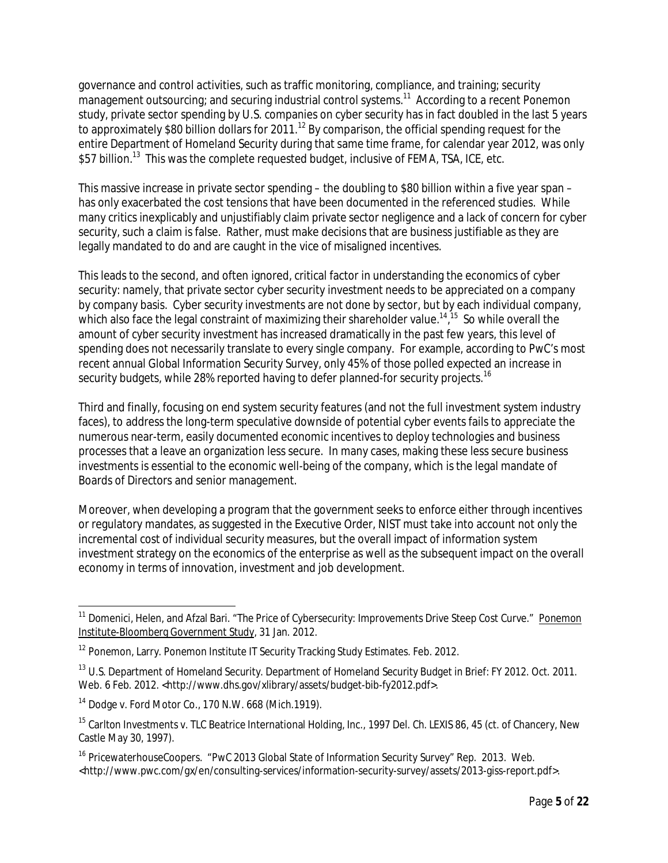governance and control activities, such as traffic monitoring, compliance, and training; security management outsourcing; and securing industrial control systems.<sup>11</sup> According to a recent Ponemon study, private sector spending by U.S. companies on cyber security has in fact doubled in the last 5 years to approximately \$80 billion dollars for 2011. $^{12}$  By comparison, the official spending request for the entire Department of Homeland Security during that same time frame, for calendar year 2012, was only \$57 billion.<sup>13</sup> This was the complete requested budget, inclusive of FEMA, TSA, ICE, etc.

This massive increase in private sector spending – the doubling to \$80 billion within a five year span – has only exacerbated the cost tensions that have been documented in the referenced studies. While many critics inexplicably and unjustifiably claim private sector negligence and a lack of concern for cyber security, such a claim is false. Rather, must make decisions that are business justifiable as they are legally mandated to do and are caught in the vice of misaligned incentives.

This leads to the second, and often ignored, critical factor in understanding the economics of cyber security: namely, that private sector cyber security investment needs to be appreciated on a company by company basis. Cyber security investments are not done by sector, but by each individual company, which also face the legal constraint of maximizing their shareholder value.<sup>14,15</sup> So while overall the amount of cyber security investment has increased dramatically in the past few years, this level of spending does not necessarily translate to every single company. For example, according to PwC's most recent annual Global Information Security Survey, only 45% of those polled expected an increase in security budgets, while 28% reported having to defer planned-for security projects.<sup>16</sup>

Third and finally, focusing on end system security features (and not the full investment system industry faces), to address the long-term speculative downside of potential cyber events fails to appreciate the numerous near-term, easily documented economic incentives to deploy technologies and business processes that a leave an organization less secure. In many cases, making these less secure business investments is essential to the economic well-being of the company, which is the legal mandate of Boards of Directors and senior management.

Moreover, when developing a program that the government seeks to enforce either through incentives or regulatory mandates, as suggested in the Executive Order, NIST must take into account not only the incremental cost of individual security measures, but the overall impact of information system investment strategy on the economics of the enterprise as well as the subsequent impact on the overall economy in terms of innovation, investment and job development.

 $\overline{a}$ 

<sup>&</sup>lt;sup>11</sup> Domenici, Helen, and Afzal Bari. "The Price of Cybersecurity: Improvements Drive Steep Cost Curve." Ponemon Institute-Bloomberg Government Study, 31 Jan. 2012.

<sup>&</sup>lt;sup>12</sup> Ponemon, Larry. Ponemon Institute IT Security Tracking Study Estimates. Feb. 2012.

<sup>&</sup>lt;sup>13</sup> U.S. Department of Homeland Security. Department of Homeland Security Budget in Brief: FY 2012. Oct. 2011. Web. 6 Feb. 2012. <http://www.dhs.gov/xlibrary/assets/budget-bib-fy2012.pdf>.

<sup>14</sup> Dodge v. Ford Motor Co., 170 N.W. 668 (Mich.1919).

<sup>&</sup>lt;sup>15</sup> Carlton Investments v. TLC Beatrice International Holding, Inc., 1997 Del. Ch. LEXIS 86, 45 (ct. of Chancery, New Castle May 30, 1997).

<sup>&</sup>lt;sup>16</sup> PricewaterhouseCoopers. "PwC 2013 Global State of Information Security Survey" Rep. 2013. Web. <http://www.pwc.com/gx/en/consulting-services/information-security-survey/assets/2013-giss-report.pdf>.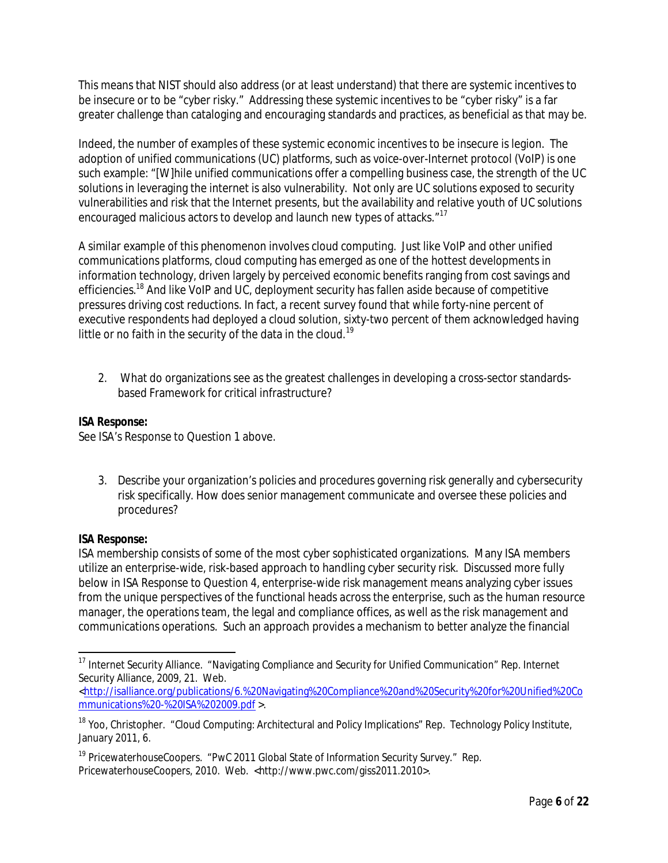This means that NIST should also address (or at least understand) that there are systemic incentives to be insecure or to be "cyber risky." Addressing these systemic incentives to be "cyber risky" is a far greater challenge than cataloging and encouraging standards and practices, as beneficial as that may be.

Indeed, the number of examples of these systemic economic incentives to be insecure is legion. The adoption of unified communications (UC) platforms, such as voice-over-Internet protocol (VoIP) is one such example: "[W]hile unified communications offer a compelling business case, the strength of the UC solutions in leveraging the internet is also vulnerability. Not only are UC solutions exposed to security vulnerabilities and risk that the Internet presents, but the availability and relative youth of UC solutions encouraged malicious actors to develop and launch new types of attacks."<sup>17</sup>

A similar example of this phenomenon involves cloud computing. Just like VoIP and other unified communications platforms, cloud computing has emerged as one of the hottest developments in information technology, driven largely by perceived economic benefits ranging from cost savings and efficiencies.<sup>18</sup> And like VoIP and UC, deployment security has fallen aside because of competitive pressures driving cost reductions. In fact, a recent survey found that while forty-nine percent of executive respondents had deployed a cloud solution, sixty-two percent of them acknowledged having little or no faith in the security of the data in the cloud.<sup>19</sup>

2. What do organizations see as the greatest challenges in developing a cross-sector standardsbased Framework for critical infrastructure?

## *ISA Response:*

See ISA's Response to Question 1 above.

3. Describe your organization's policies and procedures governing risk generally and cybersecurity risk specifically. How does senior management communicate and oversee these policies and procedures?

### *ISA Response:*

 $\overline{a}$ 

ISA membership consists of some of the most cyber sophisticated organizations. Many ISA members utilize an enterprise-wide, risk-based approach to handling cyber security risk. Discussed more fully below in ISA Response to Question 4, enterprise-wide risk management means analyzing cyber issues from the unique perspectives of the functional heads across the enterprise, such as the human resource manager, the operations team, the legal and compliance offices, as well as the risk management and communications operations. Such an approach provides a mechanism to better analyze the financial

<sup>&</sup>lt;sup>17</sup> Internet Security Alliance. "Navigating Compliance and Security for Unified Communication" Rep. Internet Security Alliance, 2009, 21. Web.

<sup>&</sup>lt;http://isalliance.org/publications/6.%20Navigating%20Compliance%20and%20Security%20for%20Unified%20Co mmunications%20-%20ISA%202009.pdf >.

<sup>&</sup>lt;sup>18</sup> Yoo, Christopher. "Cloud Computing: Architectural and Policy Implications" Rep. Technology Policy Institute, January 2011, 6.

<sup>&</sup>lt;sup>19</sup> PricewaterhouseCoopers. "PwC 2011 Global State of Information Security Survey." Rep. PricewaterhouseCoopers, 2010. Web. <http://www.pwc.com/giss2011.2010>.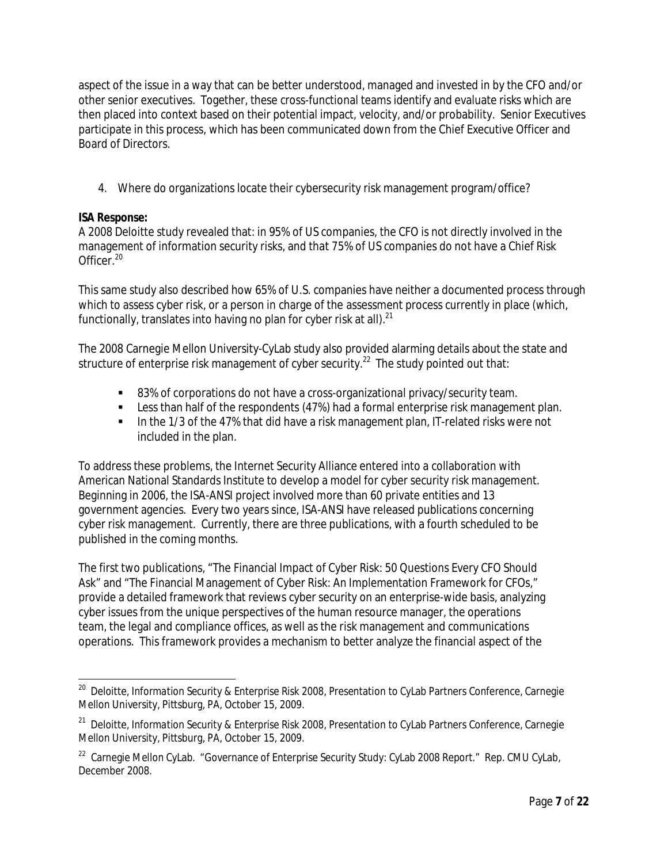aspect of the issue in a way that can be better understood, managed and invested in by the CFO and/or other senior executives. Together, these cross-functional teams identify and evaluate risks which are then placed into context based on their potential impact, velocity, and/or probability. Senior Executives participate in this process, which has been communicated down from the Chief Executive Officer and Board of Directors.

4. Where do organizations locate their cybersecurity risk management program/office?

### *ISA Response:*

A 2008 Deloitte study revealed that: in 95% of US companies, the CFO is not directly involved in the management of information security risks, and that 75% of US companies do not have a Chief Risk Officer.<sup>20</sup>

This same study also described how 65% of U.S. companies have neither a documented process through which to assess cyber risk, or a person in charge of the assessment process currently in place (which, functionally, translates into having no plan for cyber risk at all). $^{21}$ 

The 2008 Carnegie Mellon University-CyLab study also provided alarming details about the state and structure of enterprise risk management of cyber security. $^{22}\,$  The study pointed out that:

- 83% of corporations do not have a cross-organizational privacy/security team.
- **EXECT** Less than half of the respondents (47%) had a formal enterprise risk management plan.
- In the 1/3 of the 47% that did have a risk management plan, IT-related risks were not included in the plan.

To address these problems, the Internet Security Alliance entered into a collaboration with American National Standards Institute to develop a model for cyber security risk management. Beginning in 2006, the ISA-ANSI project involved more than 60 private entities and 13 government agencies. Every two years since, ISA-ANSI have released publications concerning cyber risk management. Currently, there are three publications, with a fourth scheduled to be published in the coming months.

The first two publications, "The Financial Impact of Cyber Risk: 50 Questions Every CFO Should Ask" and "The Financial Management of Cyber Risk: An Implementation Framework for CFOs," provide a detailed framework that reviews cyber security on an enterprise-wide basis, analyzing cyber issues from the unique perspectives of the human resource manager, the operations team, the legal and compliance offices, as well as the risk management and communications operations. This framework provides a mechanism to better analyze the financial aspect of the

 20 Deloitte, *Information Security & Enterprise Risk 2008*, Presentation to CyLab Partners Conference, Carnegie Mellon University, Pittsburg, PA, October 15, 2009.

<sup>&</sup>lt;sup>21</sup> Deloitte, *Information Security & Enterprise Risk 2008*, Presentation to CyLab Partners Conference, Carnegie Mellon University, Pittsburg, PA, October 15, 2009.

 $^{22}$  Carnegie Mellon CyLab. "Governance of Enterprise Security Study: CyLab 2008 Report." Rep. CMU CyLab, December 2008.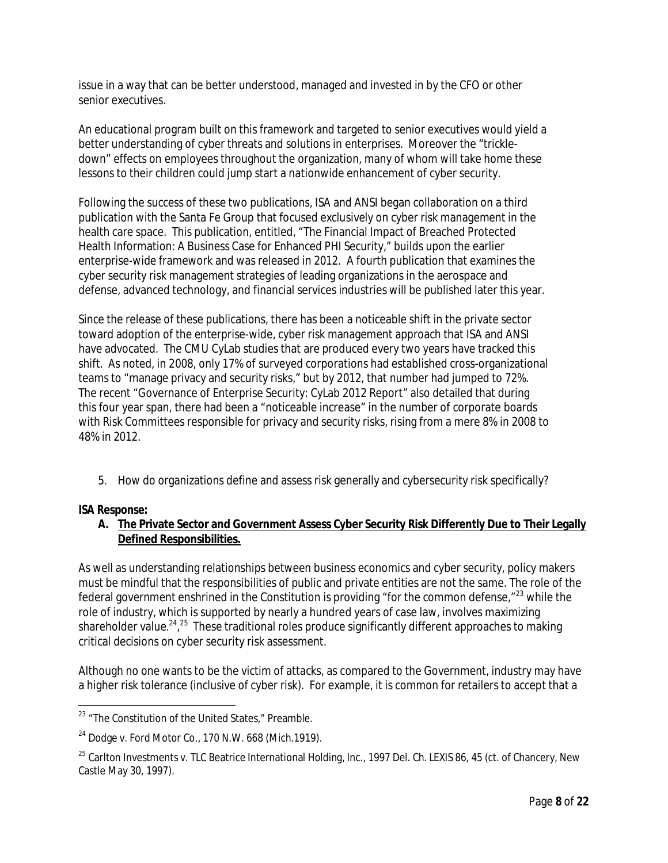issue in a way that can be better understood, managed and invested in by the CFO or other senior executives.

An educational program built on this framework and targeted to senior executives would yield a better understanding of cyber threats and solutions in enterprises. Moreover the "trickledown" effects on employees throughout the organization, many of whom will take home these lessons to their children could jump start a nationwide enhancement of cyber security.

Following the success of these two publications, ISA and ANSI began collaboration on a third publication with the Santa Fe Group that focused exclusively on cyber risk management in the health care space. This publication, entitled, "The Financial Impact of Breached Protected Health Information: A Business Case for Enhanced PHI Security," builds upon the earlier enterprise-wide framework and was released in 2012. A fourth publication that examines the cyber security risk management strategies of leading organizations in the aerospace and defense, advanced technology, and financial services industries will be published later this year.

Since the release of these publications, there has been a noticeable shift in the private sector toward adoption of the enterprise-wide, cyber risk management approach that ISA and ANSI have advocated. The CMU CyLab studies that are produced every two years have tracked this shift. As noted, in 2008, only 17% of surveyed corporations had established cross-organizational teams to "manage privacy and security risks," but by 2012, that number had jumped to 72%. The recent "Governance of Enterprise Security: CyLab 2012 Report" also detailed that during this four year span, there had been a "noticeable increase" in the number of corporate boards with Risk Committees responsible for privacy and security risks, rising from a mere 8% in 2008 to 48% in 2012.

5. How do organizations define and assess risk generally and cybersecurity risk specifically?

### *ISA Response:*

 $\overline{a}$ 

### **A. The Private Sector and Government Assess Cyber Security Risk Differently Due to Their Legally Defined Responsibilities.**

As well as understanding relationships between business economics and cyber security, policy makers must be mindful that the responsibilities of public and private entities are not the same. The role of the federal government enshrined in the Constitution is providing "for the common defense,"<sup>23</sup> while the role of industry, which is supported by nearly a hundred years of case law, involves maximizing shareholder value.<sup>24</sup>,<sup>25</sup> These traditional roles produce significantly different approaches to making critical decisions on cyber security risk assessment.

Although no one wants to be the victim of attacks, as compared to the Government, industry may have a higher risk tolerance (inclusive of cyber risk). For example, it is common for retailers to accept that a

 $^{23}$  "The Constitution of the United States," Preamble.

 $24$  Dodge v. Ford Motor Co., 170 N.W. 668 (Mich.1919).

 $^{25}$  Carlton Investments v. TLC Beatrice International Holding, Inc., 1997 Del. Ch. LEXIS 86, 45 (ct. of Chancery, New Castle May 30, 1997).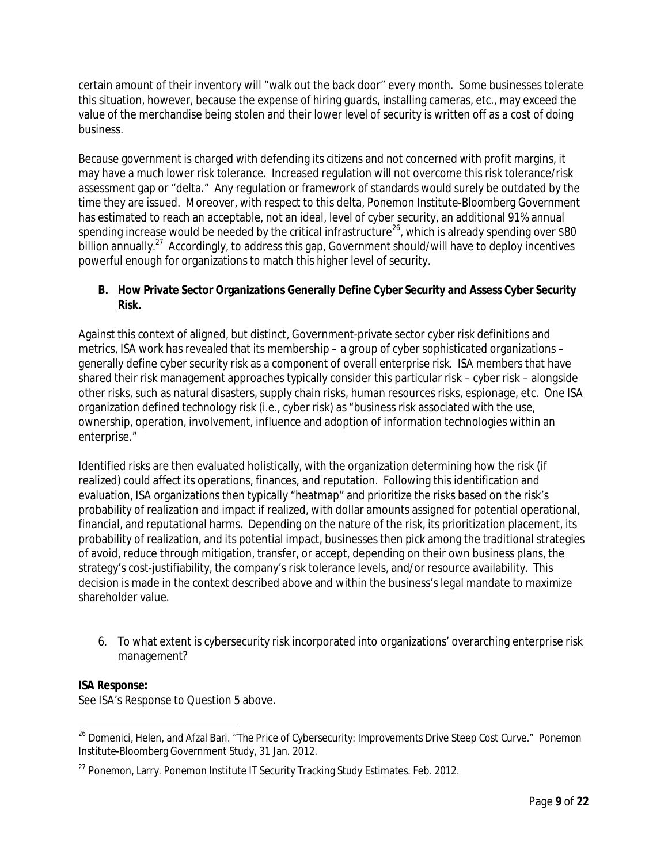certain amount of their inventory will "walk out the back door" every month. Some businesses tolerate this situation, however, because the expense of hiring guards, installing cameras, etc., may exceed the value of the merchandise being stolen and their lower level of security is written off as a cost of doing business.

Because government is charged with defending its citizens and not concerned with profit margins, it may have a much lower risk tolerance. Increased regulation will not overcome this risk tolerance/risk assessment gap or "delta." Any regulation or framework of standards would surely be outdated by the time they are issued. Moreover, with respect to this delta, Ponemon Institute-Bloomberg Government has estimated to reach an acceptable, not an ideal, level of cyber security, an additional 91% annual spending increase would be needed by the critical infrastructure<sup>26</sup>, which is already spending over \$80 billion annually.<sup>27</sup> Accordingly, to address this gap, Government should/will have to deploy incentives powerful enough for organizations to match this higher level of security.

# **B. How Private Sector Organizations Generally Define Cyber Security and Assess Cyber Security Risk.**

Against this context of aligned, but distinct, Government-private sector cyber risk definitions and metrics, ISA work has revealed that its membership – a group of cyber sophisticated organizations – generally define cyber security risk as a component of overall enterprise risk. ISA members that have shared their risk management approaches typically consider this particular risk – cyber risk – alongside other risks, such as natural disasters, supply chain risks, human resources risks, espionage, etc. One ISA organization defined technology risk (i.e., cyber risk) as "business risk associated with the use, ownership, operation, involvement, influence and adoption of information technologies within an enterprise."

Identified risks are then evaluated holistically, with the organization determining how the risk (if realized) could affect its operations, finances, and reputation. Following this identification and evaluation, ISA organizations then typically "heatmap" and prioritize the risks based on the risk's probability of realization and impact if realized, with dollar amounts assigned for potential operational, financial, and reputational harms. Depending on the nature of the risk, its prioritization placement, its probability of realization, and its potential impact, businesses then pick among the traditional strategies of avoid, reduce through mitigation, transfer, or accept, depending on their own business plans, the strategy's cost-justifiability, the company's risk tolerance levels, and/or resource availability. This decision is made in the context described above and within the business's legal mandate to maximize shareholder value.

6. To what extent is cybersecurity risk incorporated into organizations' overarching enterprise risk management?

### *ISA Response:*

 $\overline{a}$ 

See ISA's Response to Question 5 above.

<sup>&</sup>lt;sup>26</sup> Domenici, Helen, and Afzal Bari. "The Price of Cybersecurity: Improvements Drive Steep Cost Curve." Ponemon Institute-Bloomberg Government Study, 31 Jan. 2012.

<sup>&</sup>lt;sup>27</sup> Ponemon, Larry. Ponemon Institute IT Security Tracking Study Estimates. Feb. 2012.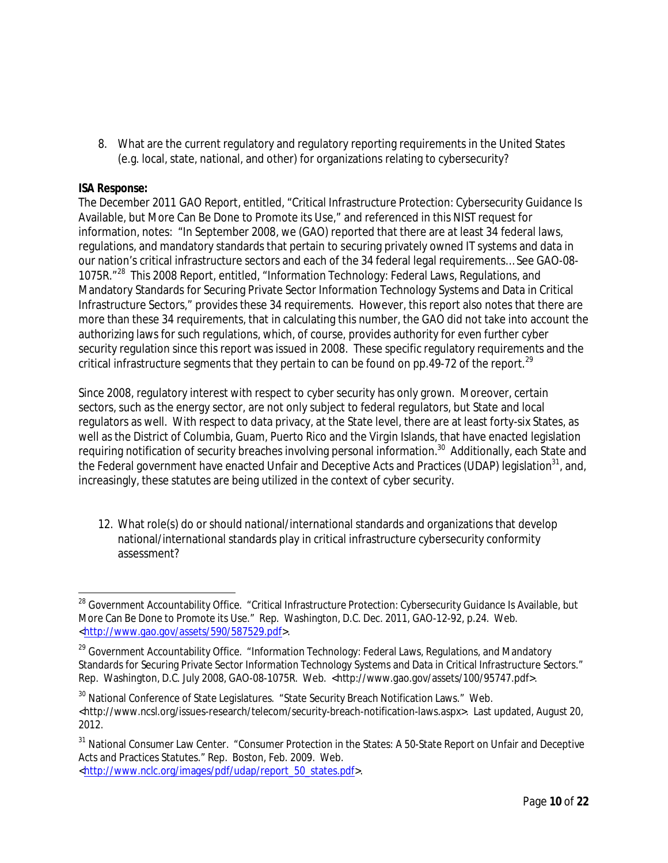8. What are the current regulatory and regulatory reporting requirements in the United States (e.g. local, state, national, and other) for organizations relating to cybersecurity?

## *ISA Response:*

The December 2011 GAO Report, entitled, "Critical Infrastructure Protection: Cybersecurity Guidance Is Available, but More Can Be Done to Promote its Use," and referenced in this NIST request for information, notes: "In September 2008, we (GAO) reported that there are at least 34 federal laws, regulations, and mandatory standards that pertain to securing privately owned IT systems and data in our nation's critical infrastructure sectors and each of the 34 federal legal requirements… See GAO-08- 1075R."<sup>28</sup> This 2008 Report, entitled, "Information Technology: Federal Laws, Regulations, and Mandatory Standards for Securing Private Sector Information Technology Systems and Data in Critical Infrastructure Sectors," provides these 34 requirements. However, this report also notes that there are more than these 34 requirements, that in calculating this number, the GAO did not take into account the authorizing laws for such regulations, which, of course, provides authority for even further cyber security regulation since this report was issued in 2008. These specific regulatory requirements and the critical infrastructure segments that they pertain to can be found on pp.49-72 of the report.<sup>29</sup>

Since 2008, regulatory interest with respect to cyber security has only grown. Moreover, certain sectors, such as the energy sector, are not only subject to federal regulators, but State and local regulators as well. With respect to data privacy, at the State level, there are at least forty-six States, as well as the District of Columbia, Guam, Puerto Rico and the Virgin Islands, that have enacted legislation requiring notification of security breaches involving personal information.<sup>30</sup> Additionally, each State and the Federal government have enacted Unfair and Deceptive Acts and Practices (UDAP) legislation<sup>31</sup>, and, increasingly, these statutes are being utilized in the context of cyber security.

12. What role(s) do or should national/international standards and organizations that develop national/international standards play in critical infrastructure cybersecurity conformity assessment?

 $\overline{\phantom{a}}$ <sup>28</sup> Government Accountability Office. "Critical Infrastructure Protection: Cybersecurity Guidance Is Available, but More Can Be Done to Promote its Use." Rep. Washington, D.C. Dec. 2011, GAO-12-92, p.24. Web. <http://www.gao.gov/assets/590/587529.pdf>.

<sup>&</sup>lt;sup>29</sup> Government Accountability Office. "Information Technology: Federal Laws, Regulations, and Mandatory Standards for Securing Private Sector Information Technology Systems and Data in Critical Infrastructure Sectors." Rep. Washington, D.C. July 2008, GAO-08-1075R. Web. <http://www.gao.gov/assets/100/95747.pdf>.

<sup>&</sup>lt;sup>30</sup> National Conference of State Legislatures. "State Security Breach Notification Laws." Web. <http://www.ncsl.org/issues-research/telecom/security-breach-notification-laws.aspx>. Last updated, August 20, 2012.

<sup>&</sup>lt;sup>31</sup> National Consumer Law Center. "Consumer Protection in the States: A 50-State Report on Unfair and Deceptive Acts and Practices Statutes." Rep. Boston, Feb. 2009. Web.

<sup>&</sup>lt;http://www.nclc.org/images/pdf/udap/report\_50\_states.pdf>.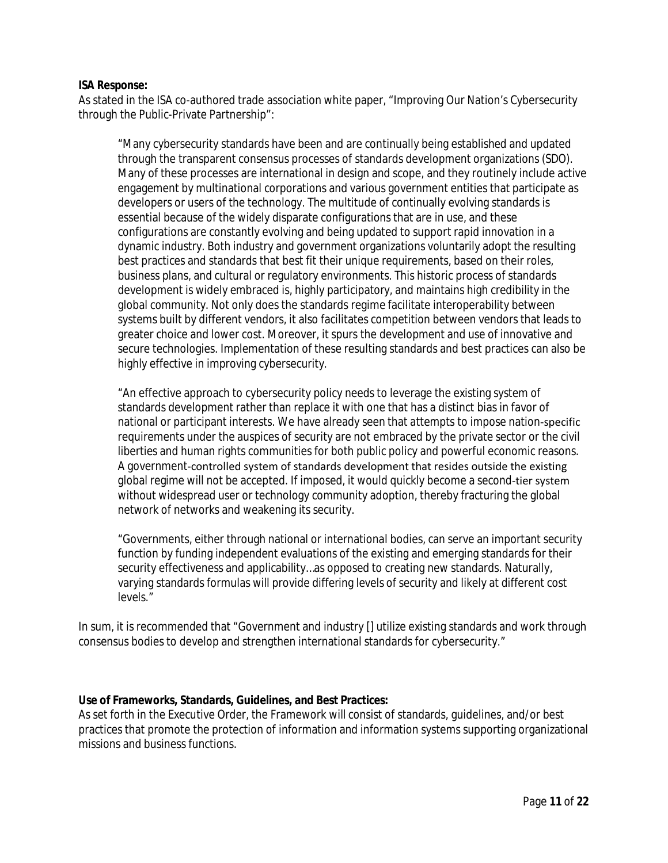#### *ISA Response:*

As stated in the ISA co-authored trade association white paper, "Improving Our Nation's Cybersecurity through the Public-Private Partnership":

"Many cybersecurity standards have been and are continually being established and updated through the transparent consensus processes of standards development organizations (SDO). Many of these processes are international in design and scope, and they routinely include active engagement by multinational corporations and various government entities that participate as developers or users of the technology. The multitude of continually evolving standards is essential because of the widely disparate configurations that are in use, and these configurations are constantly evolving and being updated to support rapid innovation in a dynamic industry. Both industry and government organizations voluntarily adopt the resulting best practices and standards that best fit their unique requirements, based on their roles, business plans, and cultural or regulatory environments. This historic process of standards development is widely embraced is, highly participatory, and maintains high credibility in the global community. Not only does the standards regime facilitate interoperability between systems built by different vendors, it also facilitates competition between vendors that leads to greater choice and lower cost. Moreover, it spurs the development and use of innovative and secure technologies. Implementation of these resulting standards and best practices can also be highly effective in improving cybersecurity.

"An effective approach to cybersecurity policy needs to leverage the existing system of standards development rather than replace it with one that has a distinct bias in favor of national or participant interests. We have already seen that attempts to impose nation‐specific requirements under the auspices of security are not embraced by the private sector or the civil liberties and human rights communities for both public policy and powerful economic reasons. A government‐controlled system of standards development that resides outside the existing global regime will not be accepted. If imposed, it would quickly become a second‐tier system without widespread user or technology community adoption, thereby fracturing the global network of networks and weakening its security.

"Governments, either through national or international bodies, can serve an important security function by funding independent evaluations of the existing and emerging standards for their security effectiveness and applicability…as opposed to creating new standards. Naturally, varying standards formulas will provide differing levels of security and likely at different cost levels."

In sum, it is recommended that "Government and industry [] utilize existing standards and work through consensus bodies to develop and strengthen international standards for cybersecurity."

#### **Use of Frameworks, Standards, Guidelines, and Best Practices:**

As set forth in the Executive Order, the Framework will consist of standards, guidelines, and/or best practices that promote the protection of information and information systems supporting organizational missions and business functions.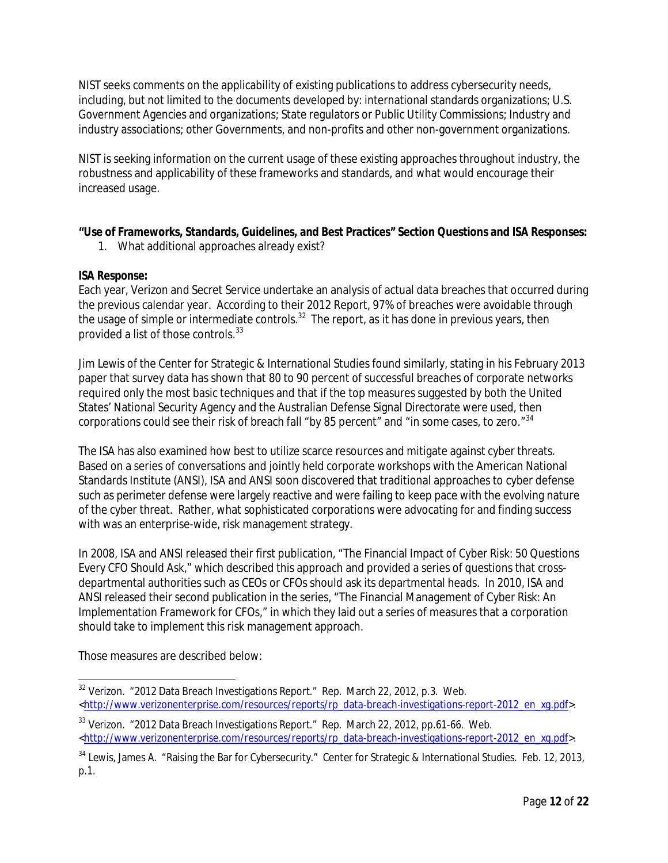NIST seeks comments on the applicability of existing publications to address cybersecurity needs, including, but not limited to the documents developed by: international standards organizations; U.S. Government Agencies and organizations; State regulators or Public Utility Commissions; Industry and industry associations; other Governments, and non-profits and other non-government organizations.

NIST is seeking information on the current usage of these existing approaches throughout industry, the robustness and applicability of these frameworks and standards, and what would encourage their increased usage.

# **"Use of Frameworks, Standards, Guidelines, and Best Practices" Section Questions and ISA Responses:**

1. What additional approaches already exist?

# *ISA Response:*

Each year, Verizon and Secret Service undertake an analysis of actual data breaches that occurred during the previous calendar year. According to their 2012 Report, 97% of breaches were avoidable through the usage of simple or intermediate controls.<sup>32</sup> The report, as it has done in previous years, then provided a list of those controls.<sup>33</sup>

Jim Lewis of the Center for Strategic & International Studies found similarly, stating in his February 2013 paper that survey data has shown that 80 to 90 percent of successful breaches of corporate networks required only the most basic techniques and that if the top measures suggested by both the United States' National Security Agency and the Australian Defense Signal Directorate were used, then corporations could see their risk of breach fall "by 85 percent" and "in some cases, to zero."<sup>34</sup>

The ISA has also examined how best to utilize scarce resources and mitigate against cyber threats. Based on a series of conversations and jointly held corporate workshops with the American National Standards Institute (ANSI), ISA and ANSI soon discovered that traditional approaches to cyber defense such as perimeter defense were largely reactive and were failing to keep pace with the evolving nature of the cyber threat. Rather, what sophisticated corporations were advocating for and finding success with was an enterprise-wide, risk management strategy.

In 2008, ISA and ANSI released their first publication, "The Financial Impact of Cyber Risk: 50 Questions Every CFO Should Ask," which described this approach and provided a series of questions that crossdepartmental authorities such as CEOs or CFOs should ask its departmental heads. In 2010, ISA and ANSI released their second publication in the series, "The Financial Management of Cyber Risk: An Implementation Framework for CFOs," in which they laid out a series of measures that a corporation should take to implement this risk management approach.

Those measures are described below:

 $\overline{\phantom{a}}$  $^{32}$  Verizon.  $\,$  "2012 Data Breach Investigations Report." Rep. March 22, 2012, p.3. Web. <http://www.verizonenterprise.com/resources/reports/rp\_data-breach-investigations-report-2012\_en\_xg.pdf>.

<sup>&</sup>lt;sup>33</sup> Verizon. "2012 Data Breach Investigations Report." Rep. March 22, 2012, pp.61-66. Web. <http://www.verizonenterprise.com/resources/reports/rp\_data-breach-investigations-report-2012\_en\_xg.pdf>.

<sup>&</sup>lt;sup>34</sup> Lewis, James A. "Raising the Bar for Cybersecurity." Center for Strategic & International Studies. Feb. 12, 2013, p.1.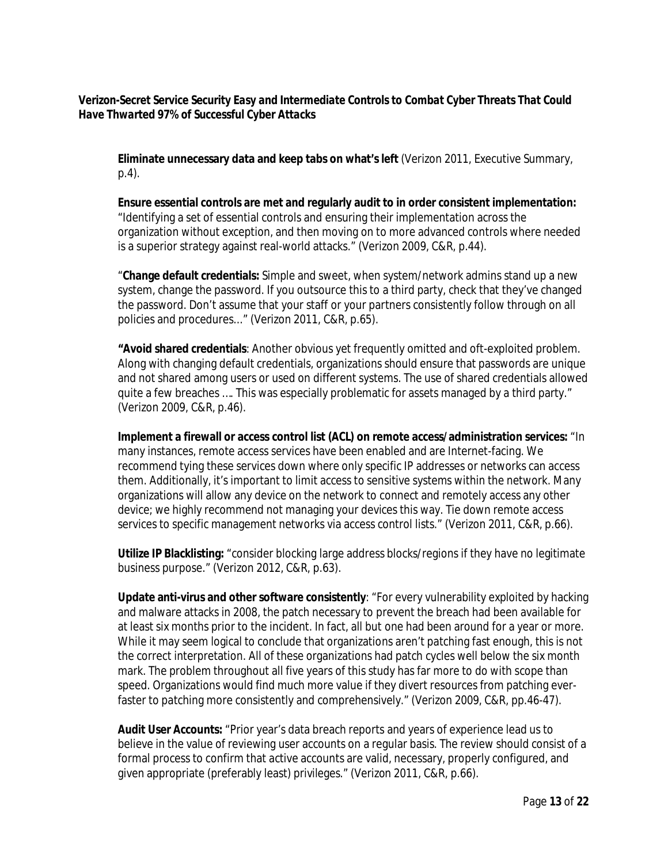### *Verizon-Secret Service Security Easy and Intermediate Controls to Combat Cyber Threats That Could Have Thwarted 97% of Successful Cyber Attacks*

**Eliminate unnecessary data and keep tabs on what's left** (Verizon 2011, Executive Summary, p.4).

**Ensure essential controls are met and regularly audit to in order consistent implementation:** "Identifying a set of essential controls and ensuring their implementation across the organization without exception, and then moving on to more advanced controls where needed is a superior strategy against real-world attacks." (Verizon 2009, C&R, p.44).

"**Change default credentials:** Simple and sweet, when system/network admins stand up a new system, change the password. If you outsource this to a third party, check that they've changed the password. Don't assume that your staff or your partners consistently follow through on all policies and procedures..." (Verizon 2011, C&R, p.65).

**"Avoid shared credentials**: Another obvious yet frequently omitted and oft-exploited problem. Along with changing default credentials, organizations should ensure that passwords are unique and not shared among users or used on different systems. The use of shared credentials allowed quite a few breaches …. This was especially problematic for assets managed by a third party." (Verizon 2009, C&R, p.46).

**Implement a firewall or access control list (ACL) on remote access/administration services:** "In many instances, remote access services have been enabled and are Internet-facing. We recommend tying these services down where only specific IP addresses or networks can access them. Additionally, it's important to limit access to sensitive systems within the network. Many organizations will allow any device on the network to connect and remotely access any other device; we highly recommend not managing your devices this way. Tie down remote access services to specific management networks via access control lists." (Verizon 2011, C&R, p.66).

**Utilize IP Blacklisting:** "consider blocking large address blocks/regions if they have no legitimate business purpose." (Verizon 2012, C&R, p.63).

**Update anti-virus and other software consistently**: "For every vulnerability exploited by hacking and malware attacks in 2008, the patch necessary to prevent the breach had been available for at least six months prior to the incident. In fact, all but one had been around for a year or more. While it may seem logical to conclude that organizations aren't patching fast enough, this is not the correct interpretation. All of these organizations had patch cycles well below the six month mark. The problem throughout all five years of this study has far more to do with scope than speed. Organizations would find much more value if they divert resources from patching everfaster to patching more consistently and comprehensively." (Verizon 2009, C&R, pp.46-47).

**Audit User Accounts:** "Prior year's data breach reports and years of experience lead us to believe in the value of reviewing user accounts on a regular basis. The review should consist of a formal process to confirm that active accounts are valid, necessary, properly configured, and given appropriate (preferably least) privileges." (Verizon 2011, C&R, p.66).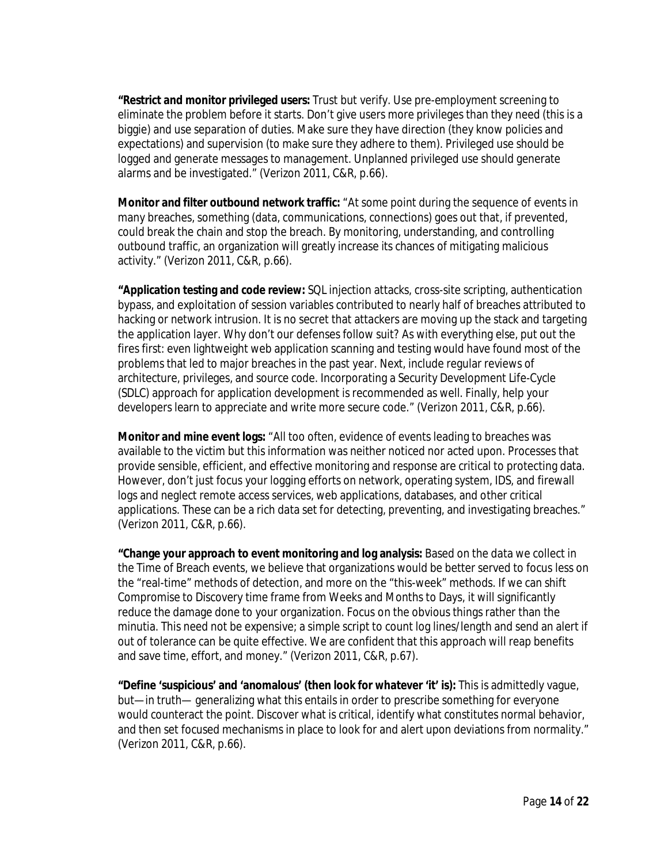**"Restrict and monitor privileged users:** Trust but verify. Use pre-employment screening to eliminate the problem before it starts. Don't give users more privileges than they need (this is a biggie) and use separation of duties. Make sure they have direction (they know policies and expectations) and supervision (to make sure they adhere to them). Privileged use should be logged and generate messages to management. Unplanned privileged use should generate alarms and be investigated." (Verizon 2011, C&R, p.66).

**Monitor and filter outbound network traffic:** "At some point during the sequence of events in many breaches, something (data, communications, connections) goes out that, if prevented, could break the chain and stop the breach. By monitoring, understanding, and controlling outbound traffic, an organization will greatly increase its chances of mitigating malicious activity." (Verizon 2011, C&R, p.66).

**"Application testing and code review:** SQL injection attacks, cross-site scripting, authentication bypass, and exploitation of session variables contributed to nearly half of breaches attributed to hacking or network intrusion. It is no secret that attackers are moving up the stack and targeting the application layer. Why don't our defenses follow suit? As with everything else, put out the fires first: even lightweight web application scanning and testing would have found most of the problems that led to major breaches in the past year. Next, include regular reviews of architecture, privileges, and source code. Incorporating a Security Development Life-Cycle (SDLC) approach for application development is recommended as well. Finally, help your developers learn to appreciate and write more secure code." (Verizon 2011, C&R, p.66).

**Monitor and mine event logs:** "All too often, evidence of events leading to breaches was available to the victim but this information was neither noticed nor acted upon. Processes that provide sensible, efficient, and effective monitoring and response are critical to protecting data. However, don't just focus your logging efforts on network, operating system, IDS, and firewall logs and neglect remote access services, web applications, databases, and other critical applications. These can be a rich data set for detecting, preventing, and investigating breaches." (Verizon 2011, C&R, p.66).

**"Change your approach to event monitoring and log analysis:** Based on the data we collect in the Time of Breach events, we believe that organizations would be better served to focus less on the "real-time" methods of detection, and more on the "this-week" methods. If we can shift Compromise to Discovery time frame from Weeks and Months to Days, it will significantly reduce the damage done to your organization. Focus on the obvious things rather than the minutia. This need not be expensive; a simple script to count log lines/length and send an alert if out of tolerance can be quite effective. We are confident that this approach will reap benefits and save time, effort, and money." (Verizon 2011, C&R, p.67).

**"Define 'suspicious' and 'anomalous' (then look for whatever 'it' is):** This is admittedly vague, but—in truth— generalizing what this entails in order to prescribe something for everyone would counteract the point. Discover what is critical, identify what constitutes normal behavior, and then set focused mechanisms in place to look for and alert upon deviations from normality." (Verizon 2011, C&R, p.66).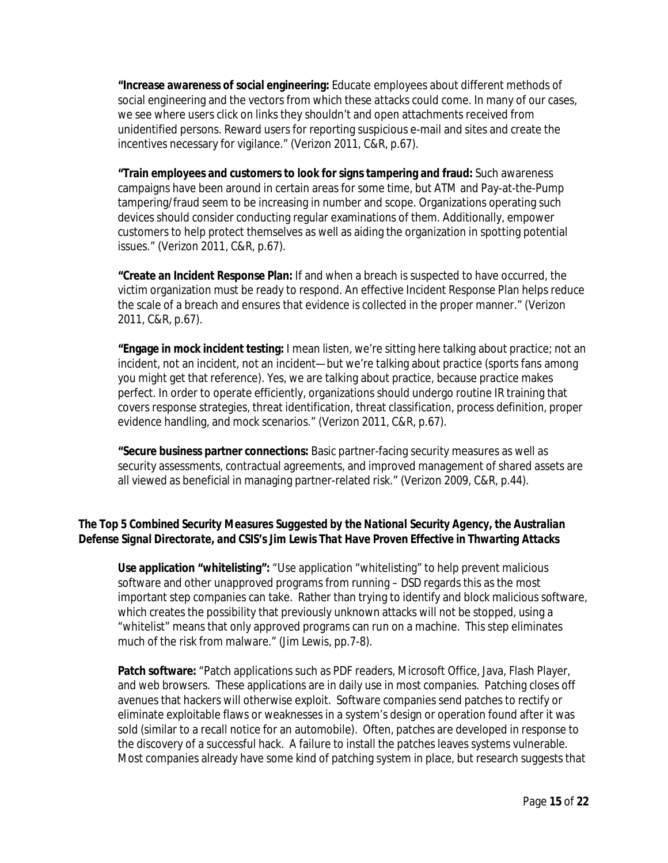**"Increase awareness of social engineering:** Educate employees about different methods of social engineering and the vectors from which these attacks could come. In many of our cases, we see where users click on links they shouldn't and open attachments received from unidentified persons. Reward users for reporting suspicious e-mail and sites and create the incentives necessary for vigilance." (Verizon 2011, C&R, p.67).

**"Train employees and customers to look for signs tampering and fraud:** Such awareness campaigns have been around in certain areas for some time, but ATM and Pay-at-the-Pump tampering/fraud seem to be increasing in number and scope. Organizations operating such devices should consider conducting regular examinations of them. Additionally, empower customers to help protect themselves as well as aiding the organization in spotting potential issues." (Verizon 2011, C&R, p.67).

**"Create an Incident Response Plan:** If and when a breach is suspected to have occurred, the victim organization must be ready to respond. An effective Incident Response Plan helps reduce the scale of a breach and ensures that evidence is collected in the proper manner." (Verizon 2011, C&R, p.67).

**"Engage in mock incident testing:** I mean listen, we're sitting here talking about practice; not an incident, not an incident, not an incident—but we're talking about practice (sports fans among you might get that reference). Yes, we are talking about practice, because practice makes perfect. In order to operate efficiently, organizations should undergo routine IR training that covers response strategies, threat identification, threat classification, process definition, proper evidence handling, and mock scenarios." (Verizon 2011, C&R, p.67).

**"Secure business partner connections:** Basic partner-facing security measures as well as security assessments, contractual agreements, and improved management of shared assets are all viewed as beneficial in managing partner-related risk." (Verizon 2009, C&R, p.44).

## *The Top 5 Combined Security Measures Suggested by the National Security Agency, the Australian Defense Signal Directorate, and CSIS's Jim Lewis That Have Proven Effective in Thwarting Attacks*

**Use application "whitelisting":** "Use application "whitelisting" to help prevent malicious software and other unapproved programs from running – DSD regards this as the most important step companies can take. Rather than trying to identify and block malicious software, which creates the possibility that previously unknown attacks will not be stopped, using a "whitelist" means that only approved programs can run on a machine. This step eliminates much of the risk from malware." (Jim Lewis, pp.7-8).

**Patch software:** "Patch applications such as PDF readers, Microsoft Office, Java, Flash Player, and web browsers. These applications are in daily use in most companies. Patching closes off avenues that hackers will otherwise exploit. Software companies send patches to rectify or eliminate exploitable flaws or weaknesses in a system's design or operation found after it was sold (similar to a recall notice for an automobile). Often, patches are developed in response to the discovery of a successful hack. A failure to install the patches leaves systems vulnerable. Most companies already have some kind of patching system in place, but research suggests that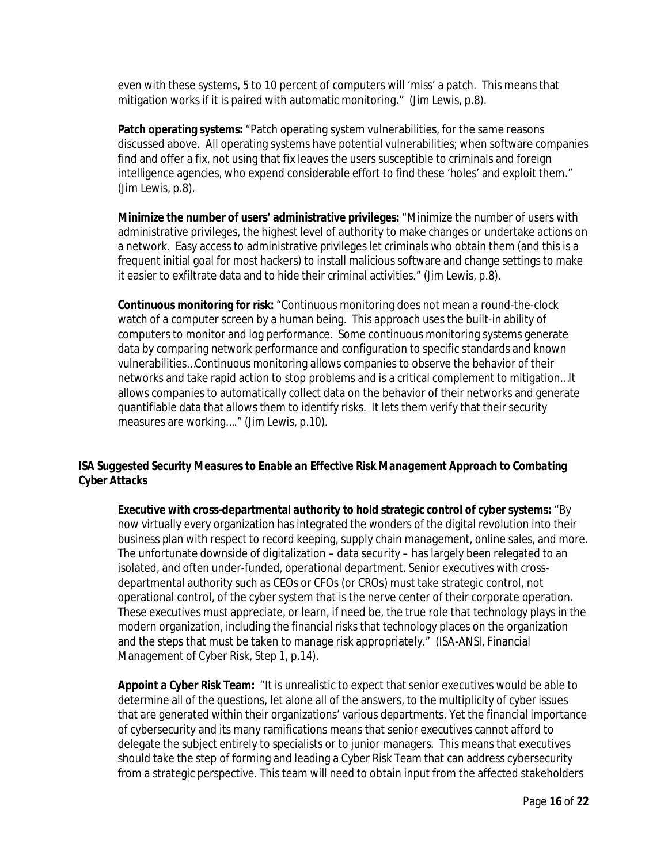even with these systems, 5 to 10 percent of computers will 'miss' a patch. This means that mitigation works if it is paired with automatic monitoring." (Jim Lewis, p.8).

**Patch operating systems:** "Patch operating system vulnerabilities, for the same reasons discussed above. All operating systems have potential vulnerabilities; when software companies find and offer a fix, not using that fix leaves the users susceptible to criminals and foreign intelligence agencies, who expend considerable effort to find these 'holes' and exploit them." (Jim Lewis, p.8).

**Minimize the number of users' administrative privileges:** "Minimize the number of users with administrative privileges, the highest level of authority to make changes or undertake actions on a network. Easy access to administrative privileges let criminals who obtain them (and this is a frequent initial goal for most hackers) to install malicious software and change settings to make it easier to exfiltrate data and to hide their criminal activities." (Jim Lewis, p.8).

**Continuous monitoring for risk:** "Continuous monitoring does not mean a round-the-clock watch of a computer screen by a human being. This approach uses the built-in ability of computers to monitor and log performance. Some continuous monitoring systems generate data by comparing network performance and configuration to specific standards and known vulnerabilities…Continuous monitoring allows companies to observe the behavior of their networks and take rapid action to stop problems and is a critical complement to mitigation…It allows companies to automatically collect data on the behavior of their networks and generate quantifiable data that allows them to identify risks. It lets them verify that their security measures are working…." (Jim Lewis, p.10).

## *ISA Suggested Security Measures to Enable an Effective Risk Management Approach to Combating Cyber Attacks*

**Executive with cross-departmental authority to hold strategic control of cyber systems:** "By now virtually every organization has integrated the wonders of the digital revolution into their business plan with respect to record keeping, supply chain management, online sales, and more. The unfortunate downside of digitalization – data security – has largely been relegated to an isolated, and often under-funded, operational department. Senior executives with crossdepartmental authority such as CEOs or CFOs (or CROs) must take strategic control, not operational control, of the cyber system that is the nerve center of their corporate operation. These executives must appreciate, or learn, if need be, the true role that technology plays in the modern organization, including the financial risks that technology places on the organization and the steps that must be taken to manage risk appropriately." (ISA-ANSI, Financial Management of Cyber Risk, Step 1, p.14).

**Appoint a Cyber Risk Team:** "It is unrealistic to expect that senior executives would be able to determine all of the questions, let alone all of the answers, to the multiplicity of cyber issues that are generated within their organizations' various departments. Yet the financial importance of cybersecurity and its many ramifications means that senior executives cannot afford to delegate the subject entirely to specialists or to junior managers. This means that executives should take the step of forming and leading a Cyber Risk Team that can address cybersecurity from a strategic perspective. This team will need to obtain input from the affected stakeholders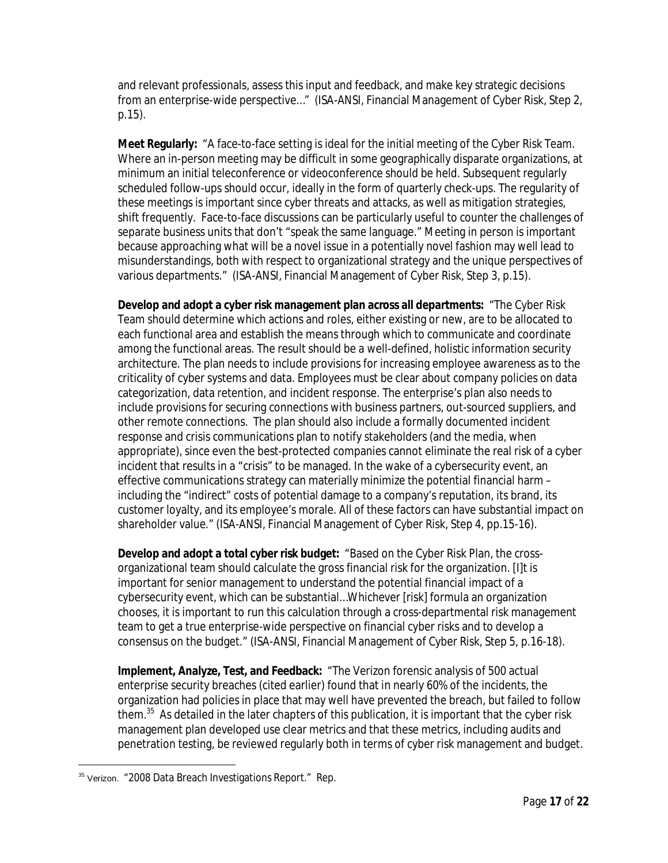and relevant professionals, assess this input and feedback, and make key strategic decisions from an enterprise-wide perspective…" (ISA-ANSI, Financial Management of Cyber Risk, Step 2, p.15).

**Meet Regularly:** "A face-to-face setting is ideal for the initial meeting of the Cyber Risk Team. Where an in-person meeting may be difficult in some geographically disparate organizations, at minimum an initial teleconference or videoconference should be held. Subsequent regularly scheduled follow-ups should occur, ideally in the form of quarterly check-ups. The regularity of these meetings is important since cyber threats and attacks, as well as mitigation strategies, shift frequently. Face-to-face discussions can be particularly useful to counter the challenges of separate business units that don't "speak the same language." Meeting in person is important because approaching what will be a novel issue in a potentially novel fashion may well lead to misunderstandings, both with respect to organizational strategy and the unique perspectives of various departments." (ISA-ANSI, Financial Management of Cyber Risk, Step 3, p.15).

**Develop and adopt a cyber risk management plan across all departments:** "The Cyber Risk Team should determine which actions and roles, either existing or new, are to be allocated to each functional area and establish the means through which to communicate and coordinate among the functional areas. The result should be a well-defined, holistic information security architecture. The plan needs to include provisions for increasing employee awareness as to the criticality of cyber systems and data. Employees must be clear about company policies on data categorization, data retention, and incident response. The enterprise's plan also needs to include provisions for securing connections with business partners, out-sourced suppliers, and other remote connections. The plan should also include a formally documented incident response and crisis communications plan to notify stakeholders (and the media, when appropriate), since even the best-protected companies cannot eliminate the real risk of a cyber incident that results in a "crisis" to be managed. In the wake of a cybersecurity event, an effective communications strategy can materially minimize the potential financial harm – including the "indirect" costs of potential damage to a company's reputation, its brand, its customer loyalty, and its employee's morale. All of these factors can have substantial impact on shareholder value." (ISA-ANSI, Financial Management of Cyber Risk, Step 4, pp.15-16).

**Develop and adopt a total cyber risk budget:** "Based on the Cyber Risk Plan, the crossorganizational team should calculate the gross financial risk for the organization. [I]t is important for senior management to understand the potential financial impact of a cybersecurity event, which can be substantial…Whichever [risk] formula an organization chooses, it is important to run this calculation through a cross-departmental risk management team to get a true enterprise-wide perspective on financial cyber risks and to develop a consensus on the budget." (ISA-ANSI, Financial Management of Cyber Risk, Step 5, p.16-18).

**Implement, Analyze, Test, and Feedback:** "The Verizon forensic analysis of 500 actual enterprise security breaches (cited earlier) found that in nearly 60% of the incidents, the organization had policies in place that may well have prevented the breach, but failed to follow them.<sup>35</sup> As detailed in the later chapters of this publication, it is important that the cyber risk management plan developed use clear metrics and that these metrics, including audits and penetration testing, be reviewed regularly both in terms of cyber risk management and budget.

 $\overline{a}$ <sup>35</sup> Verizon. "2008 Data Breach Investigations Report." Rep.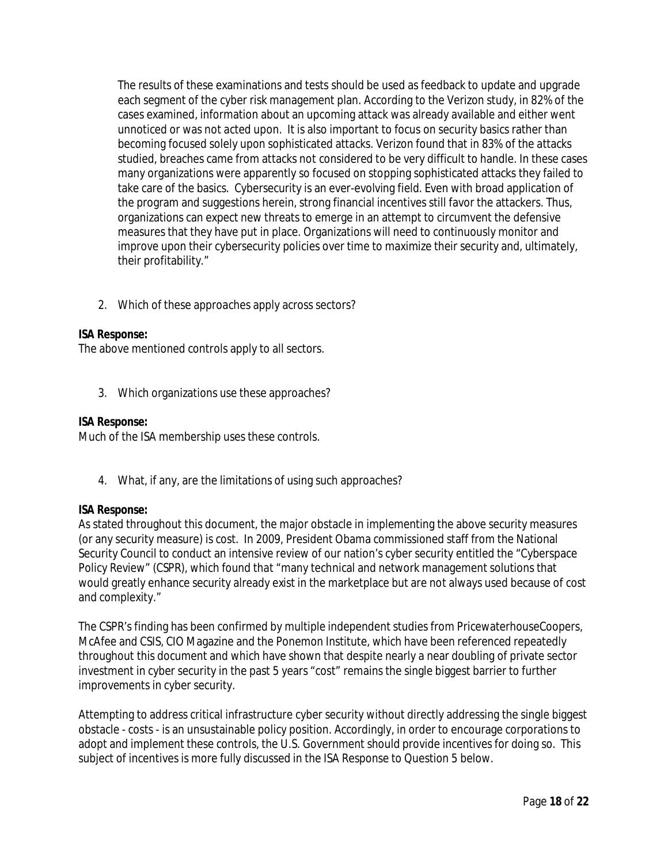The results of these examinations and tests should be used as feedback to update and upgrade each segment of the cyber risk management plan. According to the Verizon study, in 82% of the cases examined, information about an upcoming attack was already available and either went unnoticed or was not acted upon. It is also important to focus on security basics rather than becoming focused solely upon sophisticated attacks. Verizon found that in 83% of the attacks studied, breaches came from attacks not considered to be very difficult to handle. In these cases many organizations were apparently so focused on stopping sophisticated attacks they failed to take care of the basics. Cybersecurity is an ever-evolving field. Even with broad application of the program and suggestions herein, strong financial incentives still favor the attackers. Thus, organizations can expect new threats to emerge in an attempt to circumvent the defensive measures that they have put in place. Organizations will need to continuously monitor and improve upon their cybersecurity policies over time to maximize their security and, ultimately, their profitability."

2. Which of these approaches apply across sectors?

### *ISA Response:*

The above mentioned controls apply to all sectors.

3. Which organizations use these approaches?

#### *ISA Response:*

Much of the ISA membership uses these controls.

4. What, if any, are the limitations of using such approaches?

#### *ISA Response:*

As stated throughout this document, the major obstacle in implementing the above security measures (or any security measure) is cost. In 2009, President Obama commissioned staff from the National Security Council to conduct an intensive review of our nation's cyber security entitled the "Cyberspace Policy Review" (CSPR), which found that "many technical and network management solutions that would greatly enhance security already exist in the marketplace but are not always used because of cost and complexity."

The CSPR's finding has been confirmed by multiple independent studies from PricewaterhouseCoopers, McAfee and CSIS, CIO Magazine and the Ponemon Institute, which have been referenced repeatedly throughout this document and which have shown that despite nearly a near doubling of private sector investment in cyber security in the past 5 years "cost" remains the single biggest barrier to further improvements in cyber security.

Attempting to address critical infrastructure cyber security without directly addressing the single biggest obstacle - costs - is an unsustainable policy position. Accordingly, in order to encourage corporations to adopt and implement these controls, the U.S. Government should provide incentives for doing so. This subject of incentives is more fully discussed in the ISA Response to Question 5 below.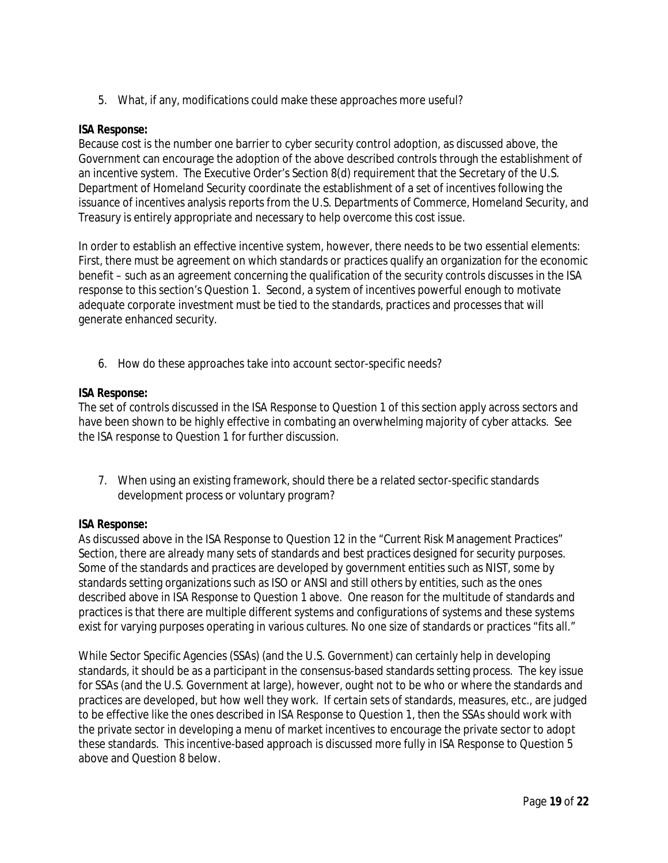5. What, if any, modifications could make these approaches more useful?

### *ISA Response:*

Because cost is the number one barrier to cyber security control adoption, as discussed above, the Government can encourage the adoption of the above described controls through the establishment of an incentive system. The Executive Order's Section 8(d) requirement that the Secretary of the U.S. Department of Homeland Security coordinate the establishment of a set of incentives following the issuance of incentives analysis reports from the U.S. Departments of Commerce, Homeland Security, and Treasury is entirely appropriate and necessary to help overcome this cost issue.

In order to establish an effective incentive system, however, there needs to be two essential elements: First, there must be agreement on which standards or practices qualify an organization for the economic benefit – such as an agreement concerning the qualification of the security controls discusses in the ISA response to this section's Question 1. Second, a system of incentives powerful enough to motivate adequate corporate investment must be tied to the standards, practices and processes that will generate enhanced security.

6. How do these approaches take into account sector-specific needs?

### *ISA Response:*

The set of controls discussed in the ISA Response to Question 1 of this section apply across sectors and have been shown to be highly effective in combating an overwhelming majority of cyber attacks. See the ISA response to Question 1 for further discussion.

7. When using an existing framework, should there be a related sector-specific standards development process or voluntary program?

### *ISA Response:*

As discussed above in the ISA Response to Question 12 in the "Current Risk Management Practices" Section, there are already many sets of standards and best practices designed for security purposes. Some of the standards and practices are developed by government entities such as NIST, some by standards setting organizations such as ISO or ANSI and still others by entities, such as the ones described above in ISA Response to Question 1 above. One reason for the multitude of standards and practices is that there are multiple different systems and configurations of systems and these systems exist for varying purposes operating in various cultures. No one size of standards or practices "fits all."

While Sector Specific Agencies (SSAs) (and the U.S. Government) can certainly help in developing standards, it should be as a participant in the consensus-based standards setting process. The key issue for SSAs (and the U.S. Government at large), however, ought not to be who or where the standards and practices are developed, but how well they work. If certain sets of standards, measures, etc., are judged to be effective like the ones described in ISA Response to Question 1, then the SSAs should work with the private sector in developing a menu of market incentives to encourage the private sector to adopt these standards. This incentive-based approach is discussed more fully in ISA Response to Question 5 above and Question 8 below.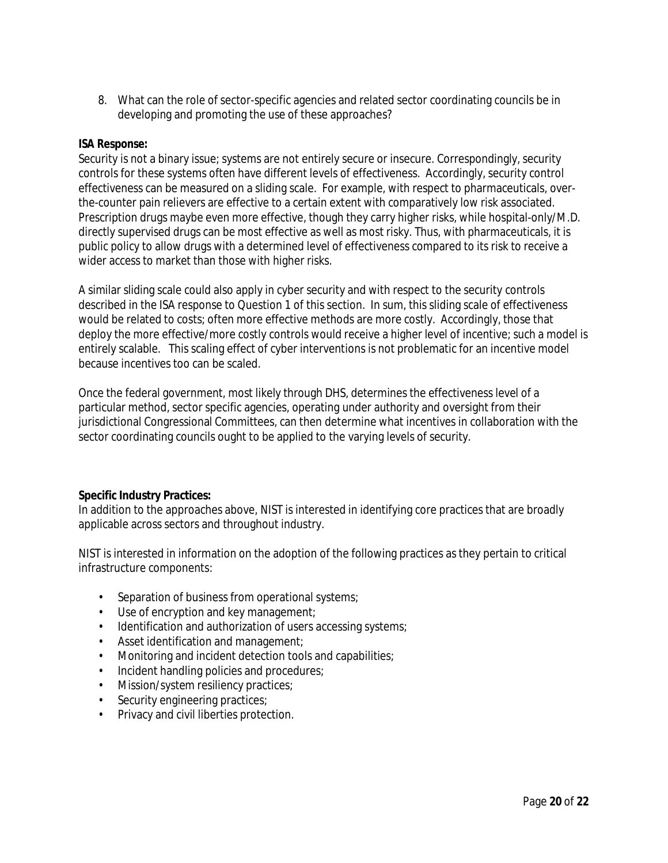8. What can the role of sector-specific agencies and related sector coordinating councils be in developing and promoting the use of these approaches?

### *ISA Response:*

Security is not a binary issue; systems are not entirely secure or insecure. Correspondingly, security controls for these systems often have different levels of effectiveness. Accordingly, security control effectiveness can be measured on a sliding scale. For example, with respect to pharmaceuticals, overthe-counter pain relievers are effective to a certain extent with comparatively low risk associated. Prescription drugs maybe even more effective, though they carry higher risks, while hospital-only/M.D. directly supervised drugs can be most effective as well as most risky. Thus, with pharmaceuticals, it is public policy to allow drugs with a determined level of effectiveness compared to its risk to receive a wider access to market than those with higher risks.

A similar sliding scale could also apply in cyber security and with respect to the security controls described in the ISA response to Question 1 of this section. In sum, this sliding scale of effectiveness would be related to costs; often more effective methods are more costly. Accordingly, those that deploy the more effective/more costly controls would receive a higher level of incentive; such a model is entirely scalable. This scaling effect of cyber interventions is not problematic for an incentive model because incentives too can be scaled.

Once the federal government, most likely through DHS, determines the effectiveness level of a particular method, sector specific agencies, operating under authority and oversight from their jurisdictional Congressional Committees, can then determine what incentives in collaboration with the sector coordinating councils ought to be applied to the varying levels of security.

#### **Specific Industry Practices:**

In addition to the approaches above, NIST is interested in identifying core practices that are broadly applicable across sectors and throughout industry.

NIST is interested in information on the adoption of the following practices as they pertain to critical infrastructure components:

- Separation of business from operational systems;
- Use of encryption and key management;
- Identification and authorization of users accessing systems;
- Asset identification and management;
- Monitoring and incident detection tools and capabilities;
- Incident handling policies and procedures;
- Mission/system resiliency practices;
- Security engineering practices;
- Privacy and civil liberties protection.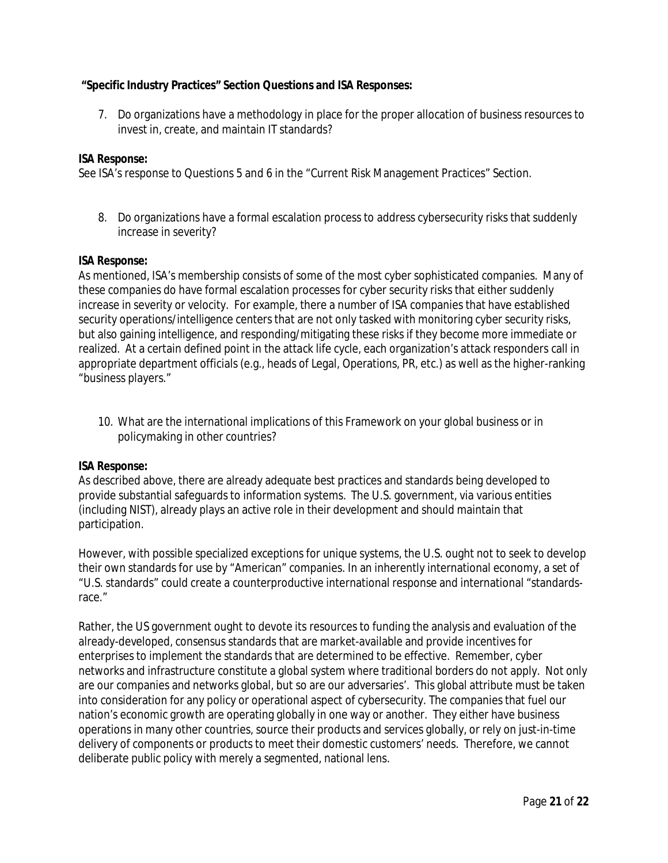### **"Specific Industry Practices" Section Questions and ISA Responses:**

7. Do organizations have a methodology in place for the proper allocation of business resources to invest in, create, and maintain IT standards?

### *ISA Response:*

See ISA's response to Questions 5 and 6 in the "Current Risk Management Practices" Section.

8. Do organizations have a formal escalation process to address cybersecurity risks that suddenly increase in severity?

#### *ISA Response:*

As mentioned, ISA's membership consists of some of the most cyber sophisticated companies. Many of these companies do have formal escalation processes for cyber security risks that either suddenly increase in severity or velocity. For example, there a number of ISA companies that have established security operations/intelligence centers that are not only tasked with monitoring cyber security risks, but also gaining intelligence, and responding/mitigating these risks if they become more immediate or realized. At a certain defined point in the attack life cycle, each organization's attack responders call in appropriate department officials (e.g., heads of Legal, Operations, PR, etc.) as well as the higher-ranking "business players."

10. What are the international implications of this Framework on your global business or in policymaking in other countries?

#### *ISA Response:*

As described above, there are already adequate best practices and standards being developed to provide substantial safeguards to information systems. The U.S. government, via various entities (including NIST), already plays an active role in their development and should maintain that participation.

However, with possible specialized exceptions for unique systems, the U.S. ought not to seek to develop their own standards for use by "American" companies. In an inherently international economy, a set of "U.S. standards" could create a counterproductive international response and international "standardsrace."

Rather, the US government ought to devote its resources to funding the analysis and evaluation of the already-developed, consensus standards that are market-available and provide incentives for enterprises to implement the standards that are determined to be effective. Remember, cyber networks and infrastructure constitute a global system where traditional borders do not apply. Not only are our companies and networks global, but so are our adversaries'. This global attribute must be taken into consideration for any policy or operational aspect of cybersecurity. The companies that fuel our nation's economic growth are operating globally in one way or another. They either have business operations in many other countries, source their products and services globally, or rely on just-in-time delivery of components or products to meet their domestic customers' needs. Therefore, we cannot deliberate public policy with merely a segmented, national lens.